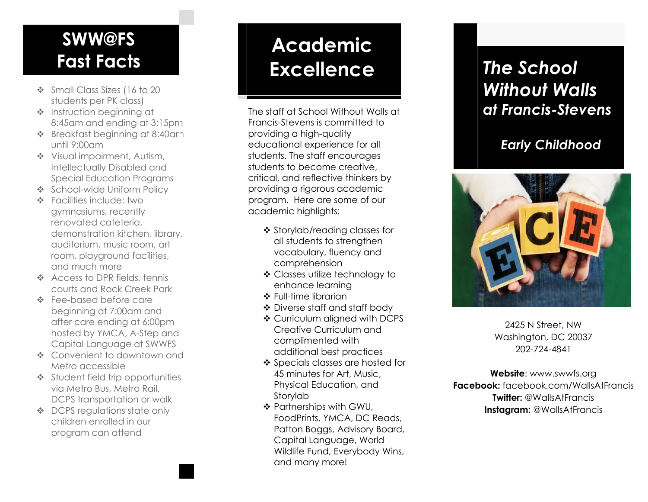### **SWW@FS Fast Facts**

- ❖ Small Class Sizes (16 to 20 students per PK class)
- ❖ Instruction beginning at 8:45am and ending at 3:15pm
- ❖ Breakfast beginning at 8:40am until 9:00am
- ❖ Visual impairment, Autism, Intellectually Disabled and Special Education Programs
- ❖ School -wide Uniform Policy
- ❖ Facilities include: two gymnasiums, recently renovated cafeteria, demonstration kitchen, library, auditorium, music room, art room, playground facilities, and much more
- ❖ Access to DPR fields, tennis courts and Rock Creek Park
- ❖ Fee -based before care beginning at 7:00am and after care ending at 6:00pm hosted by YMCA, A -Step and Capital Language at SWWFS
- ❖ Convenient to downtown and Metro accessible
- ❖ Student field trip opportunities via Metro Bus, Metro Rail, DCPS transportation or walk
- ❖ DCPS regulations state only children enrolled in our program can attend

## **Academic Excellence** *The School*

The staff at School Without Walls at Francis -Stevens is committed to providing a high -quality educational experience for all students. The staff encourages students to become creative, critical, and reflective thinkers by providing a rigorous academic program. Here are some of our academic highlights:

- ❖ Storylab/reading classes for all students to strengthen vocabulary, fluency and comprehensio n
- ❖ Classes utilize technology to enhance learning
- ❖ Full -time librarian
- ❖ Diverse staff and staff body
- ❖ Curriculum aligned with DCPS Creative Curriculum and complimented with additional best practices
- ❖ Specials classes are hosted for 45 minutes for Art, Music, Physical Edu cation, and Storylab
- ❖ Partnerships with GWU, Food Prints, YMCA, DC Reads, Patton Boggs, Advisory Board, Capital Language, World Wildlife Fund, Everybody Wins, and many more!

## *Without Walls at Francis -Stevens*

#### *Early Childho o d*



2425 N Street, NW Washington, DC 20037 202 -724 -4841

**Website**: ww w.swwfs.org **Facebook :** facebook.com/Walls AtFrancis **Twitter :** @WallsA t Francis Instagram: @WallsAtFrancis